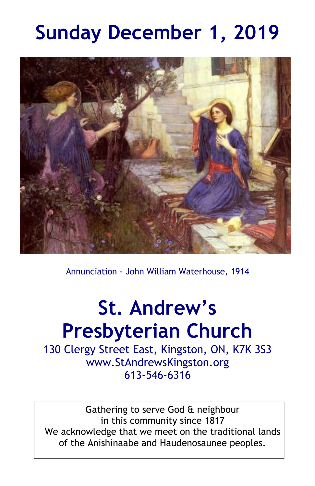# **Sunday December 1, 2019**



Annunciation - John William Waterhouse, 1914

# **St. Andrew's Presbyterian Church**

130 Clergy Street East, Kingston, ON, K7K 3S3 www.StAndrewsKingston.org 613-546-6316

Gathering to serve God & neighbour in this community since 1817 We acknowledge that we meet on the traditional lands of the Anishinaabe and Haudenosaunee peoples.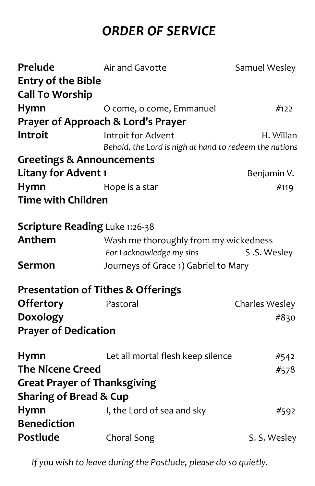## *ORDER OF SERVICE*

| Prelude                                       | Air and Gavotte                                        | Samuel Wesley  |
|-----------------------------------------------|--------------------------------------------------------|----------------|
| <b>Entry of the Bible</b>                     |                                                        |                |
| <b>Call To Worship</b>                        |                                                        |                |
| <b>Hymn</b>                                   | O come, o come, Emmanuel                               | #122           |
| Prayer of Approach & Lord's Prayer            |                                                        |                |
| Introit                                       | Introit for Advent                                     | H. Willan      |
|                                               | Behold, the Lord is nigh at hand to redeem the nations |                |
| <b>Greetings &amp; Announcements</b>          |                                                        |                |
| <b>Litany for Advent 1</b>                    |                                                        | Benjamin V.    |
| <b>Hymn</b>                                   | Hope is a star                                         | #119           |
| <b>Time with Children</b>                     |                                                        |                |
|                                               |                                                        |                |
| <b>Scripture Reading Luke 1:26-38</b>         |                                                        |                |
| Anthem                                        | Wash me thoroughly from my wickedness                  |                |
|                                               | For I acknowledge my sins                              | S.S. Wesley    |
| <b>Sermon</b>                                 | Journeys of Grace 1) Gabriel to Mary                   |                |
| <b>Presentation of Tithes &amp; Offerings</b> |                                                        |                |
| <b>Offertory</b>                              | Pastoral                                               | Charles Wesley |
| <b>Doxology</b>                               |                                                        | #830           |
| <b>Prayer of Dedication</b>                   |                                                        |                |
|                                               |                                                        |                |
| <b>Hymn</b>                                   | Let all mortal flesh keep silence                      | #542           |
| <b>The Nicene Creed</b>                       |                                                        | #578           |
| <b>Great Prayer of Thanksgiving</b>           |                                                        |                |
| <b>Sharing of Bread &amp; Cup</b>             |                                                        |                |
| <b>Hymn</b>                                   | I, the Lord of sea and sky                             | #592           |
| <b>Benediction</b>                            |                                                        |                |
| Postlude                                      | Choral Song                                            | S. S. Wesley   |
|                                               |                                                        |                |

*If you wish to leave during the Postlude, please do so quietly.*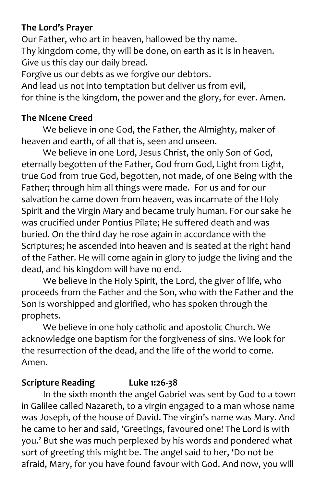#### **The Lord's Prayer**

Our Father, who art in heaven, hallowed be thy name. Thy kingdom come, thy will be done, on earth as it is in heaven. Give us this day our daily bread.

Forgive us our debts as we forgive our debtors. And lead us not into temptation but deliver us from evil, for thine is the kingdom, the power and the glory, for ever. Amen.

#### **The Nicene Creed**

We believe in one God, the Father, the Almighty, maker of heaven and earth, of all that is, seen and unseen.

We believe in one Lord, Jesus Christ, the only Son of God, eternally begotten of the Father, God from God, Light from Light, true God from true God, begotten, not made, of one Being with the Father; through him all things were made. For us and for our salvation he came down from heaven, was incarnate of the Holy Spirit and the Virgin Mary and became truly human. For our sake he was crucified under Pontius Pilate; He suffered death and was buried. On the third day he rose again in accordance with the Scriptures; he ascended into heaven and is seated at the right hand of the Father. He will come again in glory to judge the living and the dead, and his kingdom will have no end.

We believe in the Holy Spirit, the Lord, the giver of life, who proceeds from the Father and the Son, who with the Father and the Son is worshipped and glorified, who has spoken through the prophets.

We believe in one holy catholic and apostolic Church. We acknowledge one baptism for the forgiveness of sins. We look for the resurrection of the dead, and the life of the world to come. Amen.

#### **Scripture Reading Luke 1:26-38**

In the sixth month the angel Gabriel was sent by God to a town in Galilee called Nazareth, to a virgin engaged to a man whose name was Joseph, of the house of David. The virgin's name was Mary. And he came to her and said, 'Greetings, favoured one! The Lord is with you.' But she was much perplexed by his words and pondered what sort of greeting this might be. The angel said to her, 'Do not be afraid, Mary, for you have found favour with God. And now, you will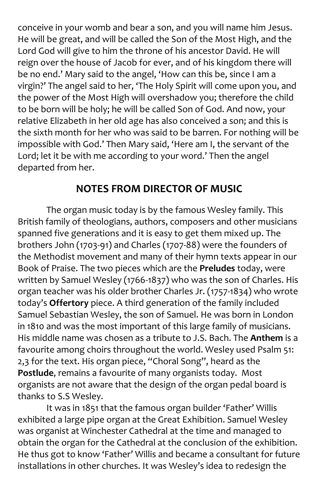conceive in your womb and bear a son, and you will name him Jesus. He will be great, and will be called the Son of the Most High, and the Lord God will give to him the throne of his ancestor David. He will reign over the house of Jacob for ever, and of his kingdom there will be no end.' Mary said to the angel, 'How can this be, since I am a virgin?' The angel said to her, 'The Holy Spirit will come upon you, and the power of the Most High will overshadow you; therefore the child to be born will be holy; he will be called Son of God. And now, your relative Elizabeth in her old age has also conceived a son; and this is the sixth month for her who was said to be barren. For nothing will be impossible with God.' Then Mary said, 'Here am I, the servant of the Lord; let it be with me according to your word.' Then the angel departed from her.

### **NOTES FROM DIRECTOR OF MUSIC**

The organ music today is by the famous Wesley family. This British family of theologians, authors, composers and other musicians spanned five generations and it is easy to get them mixed up. The brothers John (1703-91) and Charles (1707-88) were the founders of the Methodist movement and many of their hymn texts appear in our Book of Praise. The two pieces which are the **Preludes** today, were written by Samuel Wesley (1766-1837) who was the son of Charles. His organ teacher was his older brother Charles Jr. (1757-1834) who wrote today's **Offertory** piece. A third generation of the family included Samuel Sebastian Wesley, the son of Samuel. He was born in London in 1810 and was the most important of this large family of musicians. His middle name was chosen as a tribute to J.S. Bach. The **Anthem** is a favourite among choirs throughout the world. Wesley used Psalm 51: 2,3 for the text. His organ piece, "Choral Song", heard as the **Postlude**, remains a favourite of many organists today. Most organists are not aware that the design of the organ pedal board is thanks to S.S Wesley.

It was in 1851 that the famous organ builder 'Father' Willis exhibited a large pipe organ at the Great Exhibition. Samuel Wesley was organist at Winchester Cathedral at the time and managed to obtain the organ for the Cathedral at the conclusion of the exhibition. He thus got to know 'Father' Willis and became a consultant for future installations in other churches. It was Wesley's idea to redesign the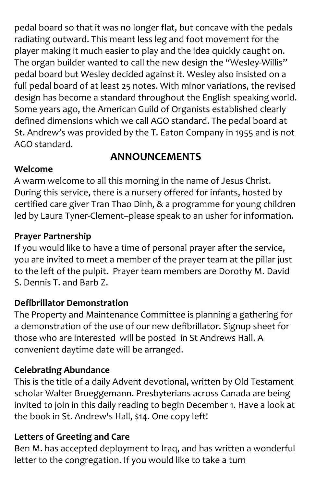pedal board so that it was no longer flat, but concave with the pedals radiating outward. This meant less leg and foot movement for the player making it much easier to play and the idea quickly caught on. The organ builder wanted to call the new design the "Wesley-Willis" pedal board but Wesley decided against it. Wesley also insisted on a full pedal board of at least 25 notes. With minor variations, the revised design has become a standard throughout the English speaking world. Some years ago, the American Guild of Organists established clearly defined dimensions which we call AGO standard. The pedal board at St. Andrew's was provided by the T. Eaton Company in 1955 and is not AGO standard.

## **ANNOUNCEMENTS**

#### **Welcome**

A warm welcome to all this morning in the name of Jesus Christ. During this service, there is a nursery offered for infants, hosted by certified care giver Tran Thao Dinh, & a programme for young children led by Laura Tyner-Clement–please speak to an usher for information.

#### **Prayer Partnership**

If you would like to have a time of personal prayer after the service, you are invited to meet a member of the prayer team at the pillar just to the left of the pulpit. Prayer team members are Dorothy M. David S. Dennis T. and Barb Z.

#### **Defibrillator Demonstration**

The Property and Maintenance Committee is planning a gathering for a demonstration of the use of our new defibrillator. Signup sheet for those who are interested will be posted in St Andrews Hall. A convenient daytime date will be arranged.

#### **Celebrating Abundance**

This is the title of a daily Advent devotional, written by Old Testament scholar Walter Brueggemann. Presbyterians across Canada are being invited to join in this daily reading to begin December 1. Have a look at the book in St. Andrew's Hall, \$14. One copy left!

#### **Letters of Greeting and Care**

Ben M. has accepted deployment to Iraq, and has written a wonderful letter to the congregation. If you would like to take a turn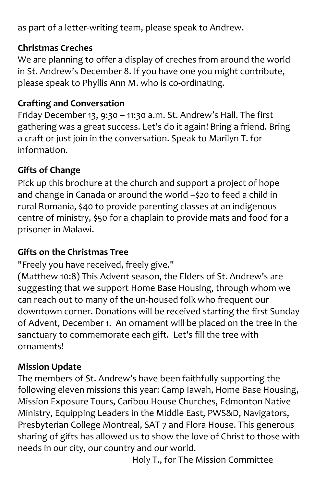as part of a letter-writing team, please speak to Andrew.

#### **Christmas Creches**

We are planning to offer a display of creches from around the world in St. Andrew's December 8. If you have one you might contribute, please speak to Phyllis Ann M. who is co-ordinating.

#### **Crafting and Conversation**

Friday December 13, 9:30 – 11:30 a.m. St. Andrew's Hall. The first gathering was a great success. Let's do it again! Bring a friend. Bring a craft or just join in the conversation. Speak to Marilyn T. for information.

#### **Gifts of Change**

Pick up this brochure at the church and support a project of hope and change in Canada or around the world –\$20 to feed a child in rural Romania, \$40 to provide parenting classes at an indigenous centre of ministry, \$50 for a chaplain to provide mats and food for a prisoner in Malawi.

#### **Gifts on the Christmas Tree**

"Freely you have received, freely give."

(Matthew 10:8) This Advent season, the Elders of St. Andrew's are suggesting that we support Home Base Housing, through whom we can reach out to many of the un-housed folk who frequent our downtown corner. Donations will be received starting the first Sunday of Advent, December 1. An ornament will be placed on the tree in the sanctuary to commemorate each gift. Let's fill the tree with ornaments!

#### **Mission Update**

The members of St. Andrew's have been faithfully supporting the following eleven missions this year: Camp Iawah, Home Base Housing, Mission Exposure Tours, Caribou House Churches, Edmonton Native Ministry, Equipping Leaders in the Middle East, PWS&D, Navigators, Presbyterian College Montreal, SAT 7 and Flora House. This generous sharing of gifts has allowed us to show the love of Christ to those with needs in our city, our country and our world.

Holy T., for The Mission Committee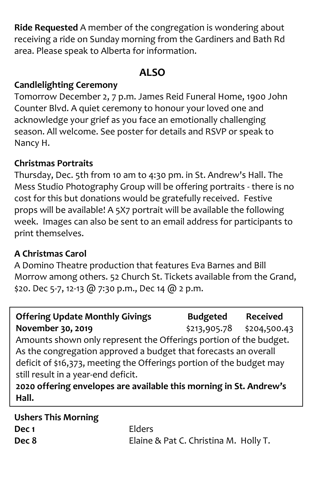**Ride Requested** A member of the congregation is wondering about receiving a ride on Sunday morning from the Gardiners and Bath Rd area. Please speak to Alberta for information.

### **ALSO**

#### **Candlelighting Ceremony**

Tomorrow December 2, 7 p.m. James Reid Funeral Home, 1900 John Counter Blvd. A quiet ceremony to honour your loved one and acknowledge your grief as you face an emotionally challenging season. All welcome. See poster for details and RSVP or speak to Nancy H.

#### **Christmas Portraits**

Thursday, Dec. 5th from 10 am to 4:30 pm. in St. Andrew's Hall. The Mess Studio Photography Group will be offering portraits - there is no cost for this but donations would be gratefully received. Festive props will be available! A 5X7 portrait will be available the following week. Images can also be sent to an email address for participants to print themselves.

#### **A Christmas Carol**

A Domino Theatre production that features Eva Barnes and Bill Morrow among others. 52 Church St. Tickets available from the Grand, \$20. Dec 5-7, 12-13 @ 7:30 p.m., Dec 14 @ 2 p.m.

**Offering Update Monthly Givings Budgeted Received November 30, 2019 by 3213,905.78** \$204,500.43 Amounts shown only represent the Offerings portion of the budget. As the congregation approved a budget that forecasts an overall deficit of \$16,373, meeting the Offerings portion of the budget may still result in a year-end deficit. **2020 offering envelopes are available this morning in St. Andrew's** 

**Hall.**

**Ushers This Morning**

**Dec 1** Elders **Dec 8** Elaine & Pat C. Christina M. Holly T.